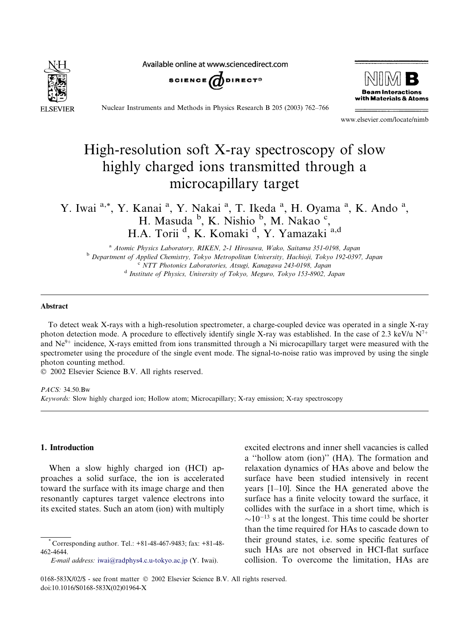

Available online at www.sciencedirect.com





Nuclear Instruments and Methods in Physics Research B 205 (2003) 762–766

www.elsevier.com/locate/nimb

# High-resolution soft X-ray spectroscopy of slow highly charged ions transmitted through a microcapillary target

Y. Iwai a,\*, Y. Kanai <sup>a</sup>, Y. Nakai <sup>a</sup>, T. Ikeda <sup>a</sup>, H. Oyama <sup>a</sup>, K. Ando <sup>a</sup>, H. Masuda <sup>b</sup>, K. Nishio <sup>b</sup>, M. Nakao <sup>c</sup>, H.A. Torii <sup>d</sup>, K. Komaki <sup>d</sup>, Y. Yamazaki <sup>a,d</sup>

<sup>a</sup> Atomic Physics Laboratory, RIKEN, 2-1 Hirosawa, Wako, Saitama 351-0198, Japan <sup>b</sup> Department of Applied Chemistry, Tokyo Metropolitan University, Hachioji, Tokyo 192-0397, Japan c NTT Photonics Laboratories, Atsugi, Kanagawa 243-0198, Japan <sup>d</sup> Institute of Physics, University of Tokyo, Meguro, Tokyo 153-8902, Japan

#### Abstract

To detect weak X-rays with a high-resolution spectrometer, a charge-coupled device was operated in a single X-ray photon detection mode. A procedure to effectively identify single X-ray was established. In the case of 2.3 keV/u  $N^{7+}$ and  $Ne^{9+}$  incidence, X-rays emitted from ions transmitted through a Ni microcapillary target were measured with the spectrometer using the procedure of the single event mode. The signal-to-noise ratio was improved by using the single photon counting method.

2002 Elsevier Science B.V. All rights reserved.

 $PACS \cdot 34.50$  Bw Keywords: Slow highly charged ion; Hollow atom; Microcapillary; X-ray emission; X-ray spectroscopy

## 1. Introduction

When a slow highly charged ion (HCI) approaches a solid surface, the ion is accelerated toward the surface with its image charge and then resonantly captures target valence electrons into its excited states. Such an atom (ion) with multiply

E-mail address: [iwai@radphys4.c.u-tokyo.ac.jp](mail to: iwai@radphys4.c.u-tokyo.ac.jp) (Y. Iwai).

excited electrons and inner shell vacancies is called a ''hollow atom (ion)'' (HA). The formation and relaxation dynamics of HAs above and below the surface have been studied intensively in recent years [1–10]. Since the HA generated above the surface has a finite velocity toward the surface, it collides with the surface in a short time, which is  $\sim$ 10<sup>-13</sup> s at the longest. This time could be shorter than the time required for HAs to cascade down to their ground states, i.e. some specific features of such HAs are not observed in HCI-flat surface collision. To overcome the limitation, HAs are

<sup>\*</sup> Corresponding author. Tel.: +81-48-467-9483; fax: +81-48- 462-4644.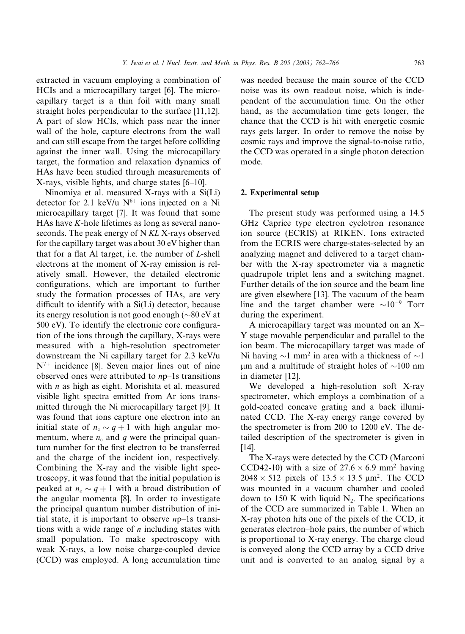extracted in vacuum employing a combination of HCIs and a microcapillary target [6]. The microcapillary target is a thin foil with many small straight holes perpendicular to the surface [11,12]. A part of slow HCIs, which pass near the inner wall of the hole, capture electrons from the wall and can still escape from the target before colliding against the inner wall. Using the microcapillary target, the formation and relaxation dynamics of HAs have been studied through measurements of X-rays, visible lights, and charge states [6–10].

Ninomiya et al. measured X-rays with a Si(Li) detector for 2.1 keV/u  $N^{6+}$  ions injected on a Ni microcapillary target [7]. It was found that some HAs have  $K$ -hole lifetimes as long as several nanoseconds. The peak energy of N KL X-rays observed for the capillary target was about 30 eV higher than that for a flat Al target, i.e. the number of  $L$ -shell electrons at the moment of X-ray emission is relatively small. However, the detailed electronic configurations, which are important to further study the formation processes of HAs, are very difficult to identify with a Si(Li) detector, because its energy resolution is not good enough ( $\sim\!80\,\mathrm{eV}$  at 500 eV). To identify the electronic core configuration of the ions through the capillary, X-rays were measured with a high-resolution spectrometer downstream the Ni capillary target for 2.3 keV/u  $N^{7+}$  incidence [8]. Seven major lines out of nine observed ones were attributed to np–1s transitions with  $n$  as high as eight. Morishita et al. measured visible light spectra emitted from Ar ions transmitted through the Ni microcapillary target [9]. It was found that ions capture one electron into an initial state of  $n_c \sim q+1$  with high angular momentum, where  $n_c$  and q were the principal quantum number for the first electron to be transferred and the charge of the incident ion, respectively. Combining the X-ray and the visible light spectroscopy, it was found that the initial population is peaked at  $n_c \sim q + 1$  with a broad distribution of the angular momenta [8]. In order to investigate the principal quantum number distribution of initial state, it is important to observe  $np-1s$  transitions with a wide range of  $n$  including states with small population. To make spectroscopy with weak X-rays, a low noise charge-coupled device (CCD) was employed. A long accumulation time was needed because the main source of the CCD noise was its own readout noise, which is independent of the accumulation time. On the other hand, as the accumulation time gets longer, the chance that the CCD is hit with energetic cosmic rays gets larger. In order to remove the noise by cosmic rays and improve the signal-to-noise ratio, the CCD was operated in a single photon detection mode.

#### 2. Experimental setup

The present study was performed using a 14.5 GHz Caprice type electron cyclotron resonance ion source (ECRIS) at RIKEN. Ions extracted from the ECRIS were charge-states-selected by an analyzing magnet and delivered to a target chamber with the X-ray spectrometer via a magnetic quadrupole triplet lens and a switching magnet. Further details of the ion source and the beam line are given elsewhere [13]. The vacuum of the beam line and the target chamber were  $\sim 10^{-9}$  Torr during the experiment.

A microcapillary target was mounted on an X– Y stage movable perpendicular and parallel to the ion beam. The microcapillary target was made of Ni having  $\sim$ 1 mm<sup>2</sup> in area with a thickness of  $\sim$ 1  $\mu$ m and a multitude of straight holes of  $\sim$ 100 nm in diameter [12].

We developed a high-resolution soft X-ray spectrometer, which employs a combination of a gold-coated concave grating and a back illuminated CCD. The X-ray energy range covered by the spectrometer is from 200 to 1200 eV. The detailed description of the spectrometer is given in [14].

The X-rays were detected by the CCD (Marconi CCD42-10) with a size of  $27.6 \times 6.9$  mm<sup>2</sup> having  $2048 \times 512$  pixels of  $13.5 \times 13.5$   $\mu$ m<sup>2</sup>. The CCD was mounted in a vacuum chamber and cooled down to 150 K with liquid  $N<sub>2</sub>$ . The specifications of the CCD are summarized in Table 1. When an X-ray photon hits one of the pixels of the CCD, it generates electron–hole pairs, the number of which is proportional to X-ray energy. The charge cloud is conveyed along the CCD array by a CCD drive unit and is converted to an analog signal by a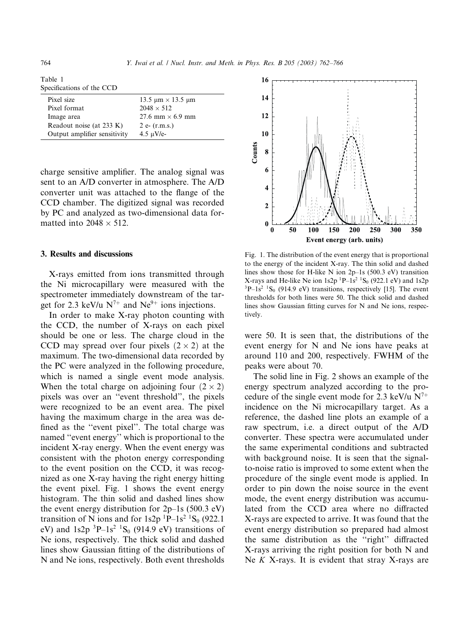| Table 1                   |  |
|---------------------------|--|
| Specifications of the CCD |  |

| Pixel size                   | 13.5 $\mu$ m $\times$ 13.5 $\mu$ m |
|------------------------------|------------------------------------|
| Pixel format                 | $2048 \times 512$                  |
| Image area                   | 27.6 mm $\times$ 6.9 mm            |
| Readout noise (at 233 K)     | 2 e- $(r.m.s.)$                    |
| Output amplifier sensitivity | $4.5 \mu V/e$                      |

charge sensitive amplifier. The analog signal was sent to an A/D converter in atmosphere. The A/D converter unit was attached to the flange of the CCD chamber. The digitized signal was recorded by PC and analyzed as two-dimensional data formatted into  $2048 \times 512$ .

## 3. Results and discussions

X-rays emitted from ions transmitted through the Ni microcapillary were measured with the spectrometer immediately downstream of the target for 2.3 keV/u  $N^{7+}$  and Ne<sup>9+</sup> ions injections.

In order to make X-ray photon counting with the CCD, the number of X-rays on each pixel should be one or less. The charge cloud in the CCD may spread over four pixels  $(2 \times 2)$  at the maximum. The two-dimensional data recorded by the PC were analyzed in the following procedure, which is named a single event mode analysis. When the total charge on adjoining four  $(2 \times 2)$ pixels was over an ''event threshold'', the pixels were recognized to be an event area. The pixel having the maximum charge in the area was defined as the ''event pixel''. The total charge was named ''event energy'' which is proportional to the incident X-ray energy. When the event energy was consistent with the photon energy corresponding to the event position on the CCD, it was recognized as one X-ray having the right energy hitting the event pixel. Fig. 1 shows the event energy histogram. The thin solid and dashed lines show the event energy distribution for  $2p-1s$  (500.3 eV) transition of N ions and for  $1s2p^{1}P-1s^{2}S_{0}$  (922.1) eV) and  $1s2p$   ${}^{3}P-1s^{2}$   ${}^{1}S_{0}$  (914.9 eV) transitions of Ne ions, respectively. The thick solid and dashed lines show Gaussian fitting of the distributions of N and Ne ions, respectively. Both event thresholds



Fig. 1. The distribution of the event energy that is proportional to the energy of the incident X-ray. The thin solid and dashed lines show those for H-like N ion 2p–1s (500.3 eV) transition X-rays and He-like Ne ion 1s2p  ${}^{1}P-1s^{2}$   ${}^{1}S_{0}$  (922.1 eV) and 1s2p  $3P-1s^2$   ${}^{1}S_0$  (914.9 eV) transitions, respectively [15]. The event thresholds for both lines were 50. The thick solid and dashed lines show Gaussian fitting curves for N and Ne ions, respectively.

were 50. It is seen that, the distributions of the event energy for N and Ne ions have peaks at around 110 and 200, respectively. FWHM of the peaks were about 70.

The solid line in Fig. 2 shows an example of the energy spectrum analyzed according to the procedure of the single event mode for 2.3 keV/u  $N^{7+}$ incidence on the Ni microcapillary target. As a reference, the dashed line plots an example of a raw spectrum, i.e. a direct output of the A/D converter. These spectra were accumulated under the same experimental conditions and subtracted with background noise. It is seen that the signalto-noise ratio is improved to some extent when the procedure of the single event mode is applied. In order to pin down the noise source in the event mode, the event energy distribution was accumulated from the CCD area where no diffracted X-rays are expected to arrive. It was found that the event energy distribution so prepared had almost the same distribution as the ''right'' diffracted X-rays arriving the right position for both N and Ne  $K$  X-rays. It is evident that stray X-rays are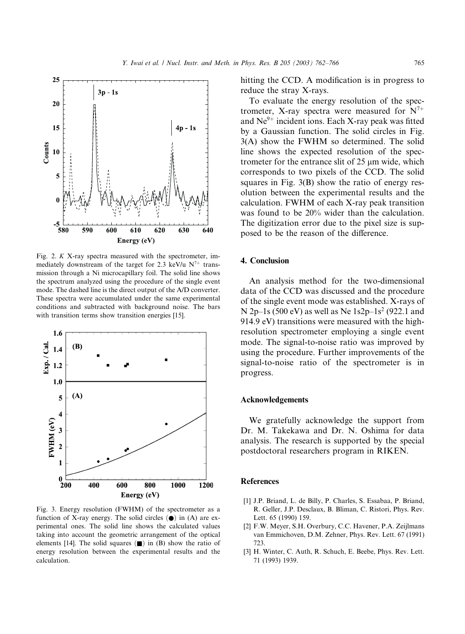

Fig. 2. K X-ray spectra measured with the spectrometer, immediately downstream of the target for 2.3 keV/u  $N^{7+}$  transmission through a Ni microcapillary foil. The solid line shows the spectrum analyzed using the procedure of the single event mode. The dashed line is the direct output of the A/D converter. These spectra were accumulated under the same experimental conditions and subtracted with background noise. The bars with transition terms show transition energies [15].



Fig. 3. Energy resolution (FWHM) of the spectrometer as a function of X-ray energy. The solid circles  $\left( \bullet \right)$  in (A) are experimental ones. The solid line shows the calculated values taking into account the geometric arrangement of the optical elements [14]. The solid squares  $(\blacksquare)$  in (B) show the ratio of energy resolution between the experimental results and the calculation.

hitting the CCD. A modification is in progress to reduce the stray X-rays.

To evaluate the energy resolution of the spectrometer, X-ray spectra were measured for  $N^{7+}$ and  $Ne^{9+}$  incident ions. Each X-ray peak was fitted by a Gaussian function. The solid circles in Fig. 3(A) show the FWHM so determined. The solid line shows the expected resolution of the spectrometer for the entrance slit of 25 µm wide, which corresponds to two pixels of the CCD. The solid squares in Fig. 3(B) show the ratio of energy resolution between the experimental results and the calculation. FWHM of each X-ray peak transition was found to be 20% wider than the calculation. The digitization error due to the pixel size is supposed to be the reason of the difference.

## 4. Conclusion

An analysis method for the two-dimensional data of the CCD was discussed and the procedure of the single event mode was established. X-rays of N 2p–1s (500 eV) as well as Ne  $1s2p-1s^2$  (922.1 and 914.9 eV) transitions were measured with the highresolution spectrometer employing a single event mode. The signal-to-noise ratio was improved by using the procedure. Further improvements of the signal-to-noise ratio of the spectrometer is in progress.

#### Acknowledgements

We gratefully acknowledge the support from Dr. M. Takekawa and Dr. N. Oshima for data analysis. The research is supported by the special postdoctoral researchers program in RIKEN.

#### References

- [1] J.P. Briand, L. de Billy, P. Charles, S. Essabaa, P. Briand, R. Geller, J.P. Desclaux, B. Bliman, C. Ristori, Phys. Rev. Lett. 65 (1990) 159.
- [2] F.W. Meyer, S.H. Overbury, C.C. Havener, P.A. Zeijlmans van Emmichoven, D.M. Zehner, Phys. Rev. Lett. 67 (1991) 723.
- [3] H. Winter, C. Auth, R. Schuch, E. Beebe, Phys. Rev. Lett. 71 (1993) 1939.